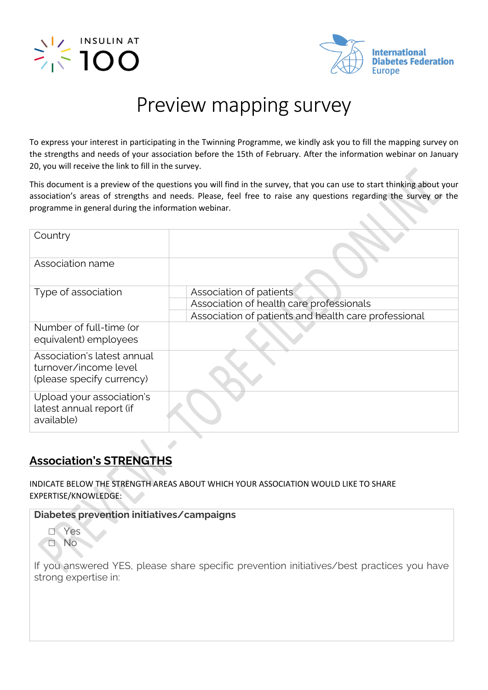



# Preview mapping survey

To express your interest in participating in the Twinning Programme, we kindly ask you to fill the mapping survey on the strengths and needs of your association before the 15th of February. After the information webinar on January 20, you will receive the link to fill in the survey.

This document is a preview of the questions you will find in the survey, that you can use to start thinking about your association's areas of strengths and needs. Please, feel free to raise any questions regarding the survey or the programme in general during the information webinar.

| Country                                                                           |                                                      |
|-----------------------------------------------------------------------------------|------------------------------------------------------|
| Association name                                                                  |                                                      |
| Type of association                                                               | Association of patients                              |
|                                                                                   | Association of health care professionals             |
|                                                                                   | Association of patients and health care professional |
| Number of full-time (or<br>equivalent) employees                                  |                                                      |
| Association's latest annual<br>turnover/income level<br>(please specify currency) |                                                      |
| Upload your association's<br>latest annual report (if<br>available)               |                                                      |

# **Association's STRENGTHS**

INDICATE BELOW THE STRENGTH AREAS ABOUT WHICH YOUR ASSOCIATION WOULD LIKE TO SHARE EXPERTISE/KNOWLEDGE:

**Diabetes prevention initiatives/campaigns**



If you answered YES, please share specific prevention initiatives/best practices you have strong expertise in: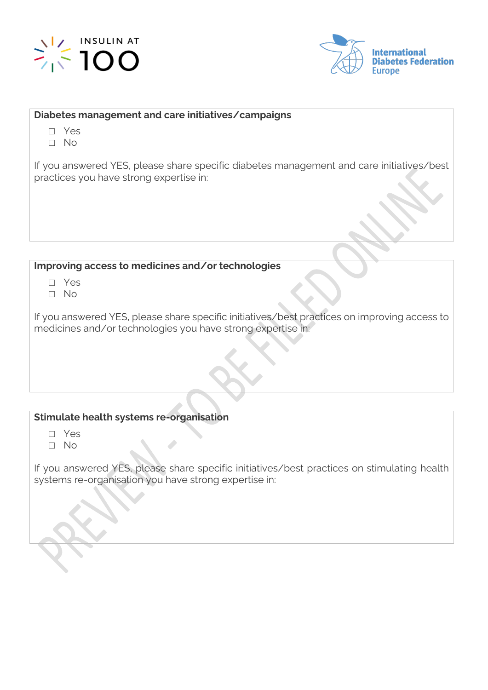



#### **Diabetes management and care initiatives/campaigns**

- □ Yes
- □ No

If you answered YES, please share specific diabetes management and care initiatives/best practices you have strong expertise in:

### **Improving access to medicines and/or technologies**

- □ Yes
- □ No

If you answered YES, please share specific initiatives/best practices on improving access to medicines and/or technologies you have strong expertise in:

### **Stimulate health systems re-organisation**

- □ Yes
- □ No

If you answered YES, please share specific initiatives/best practices on stimulating health systems re-organisation you have strong expertise in: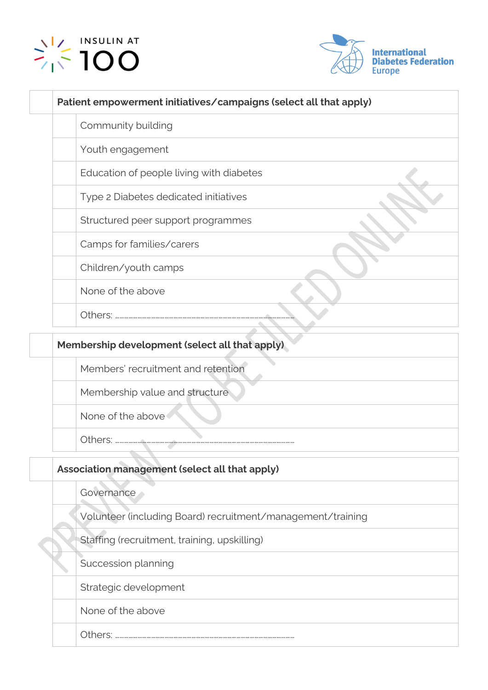



| Patient empowerment initiatives/campaigns (select all that apply) |  |
|-------------------------------------------------------------------|--|
| Community building                                                |  |
| Youth engagement                                                  |  |
| Education of people living with diabetes                          |  |
| Type 2 Diabetes dedicated initiatives                             |  |
| Structured peer support programmes                                |  |
| Camps for families/carers                                         |  |
| Children/youth camps                                              |  |
| None of the above                                                 |  |
| Others:                                                           |  |
|                                                                   |  |

# **Membership development (select all that apply)** Members' recruitment and retention Membership value and structure None of the above Others: …………………………………………………………………………………………………………

## **Association management (select all that apply)**

**Governance** 

Volunteer (including Board) recruitment/management/training

Staffing (recruitment, training, upskilling)

Succession planning

Strategic development

None of the above

Others: …………………………………………………………………………………………………………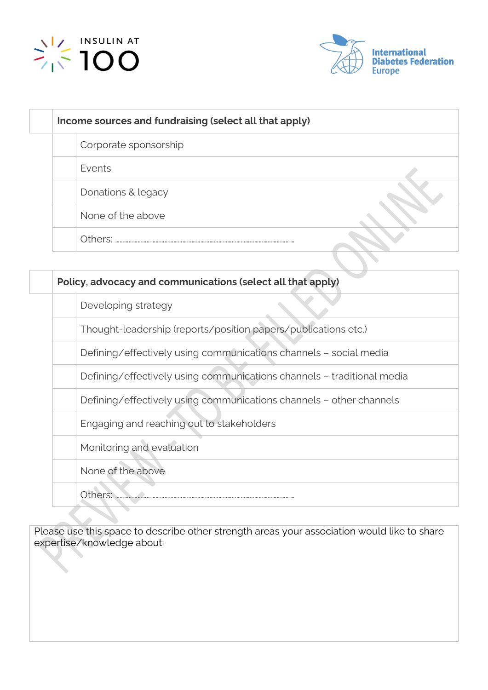



| Income sources and fundraising (select all that apply) |  |  |
|--------------------------------------------------------|--|--|
| Corporate sponsorship                                  |  |  |
| Events                                                 |  |  |
| Donations & legacy                                     |  |  |
| None of the above                                      |  |  |
| Others:                                                |  |  |

| Policy, advocacy and communications (select all that apply)            |  |
|------------------------------------------------------------------------|--|
| Developing strategy                                                    |  |
| Thought-leadership (reports/position papers/publications etc.)         |  |
| Defining/effectively using communications channels - social media      |  |
| Defining/effectively using communications channels - traditional media |  |
| Defining/effectively using communications channels - other channels    |  |
| Engaging and reaching out to stakeholders                              |  |
| Monitoring and evaluation                                              |  |
| None of the above                                                      |  |
| Others:                                                                |  |

Please use this space to describe other strength areas your association would like to share expertise/knowledge about: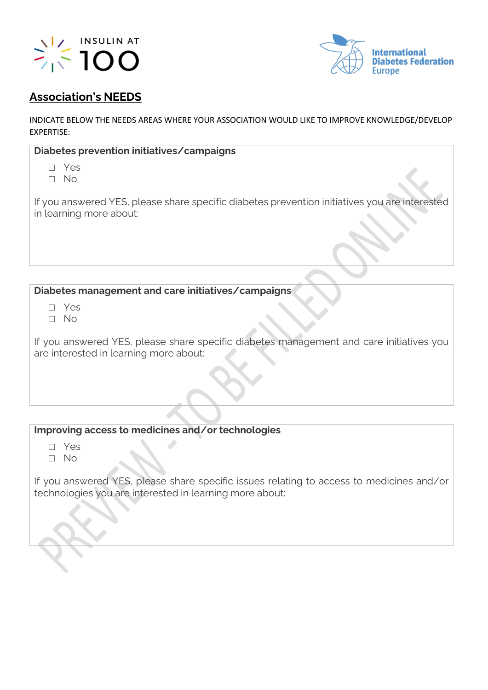



## **Association's NEEDS**

INDICATE BELOW THE NEEDS AREAS WHERE YOUR ASSOCIATION WOULD LIKE TO IMPROVE KNOWLEDGE/DEVELOP EXPERTISE:

| If you answered YES, please share specific diabetes prevention initiatives you are interested |
|-----------------------------------------------------------------------------------------------|
|                                                                                               |

## **Diabetes management and care initiatives/campaigns**

- □ Yes
- □ No

If you answered YES, please share specific diabetes management and care initiatives you are interested in learning more about:

## **Improving access to medicines and/or technologies**

- □ Yes
- □ No

If you answered YES, please share specific issues relating to access to medicines and/or technologies you are interested in learning more about: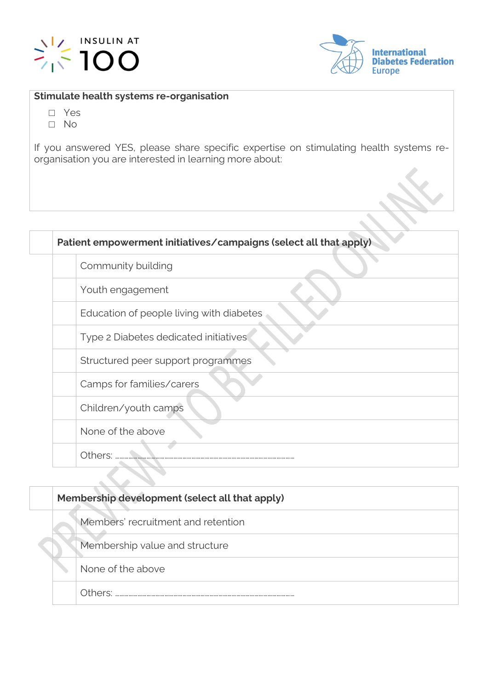



#### **Stimulate health systems re-organisation**

- □ Yes
- □ No

If you answered YES, please share specific expertise on stimulating health systems reorganisation you are interested in learning more about:

| Community building                       |
|------------------------------------------|
| Youth engagement                         |
| Education of people living with diabetes |
| Type 2 Diabetes dedicated initiatives    |
| Structured peer support programmes       |
| Camps for families/carers                |
| Children/youth camps                     |
| None of the above                        |
| Others:                                  |

**Membership development (select all that apply)** Members' recruitment and retention Membership value and structure None of the above Others: …………………………………………………………………………………………………………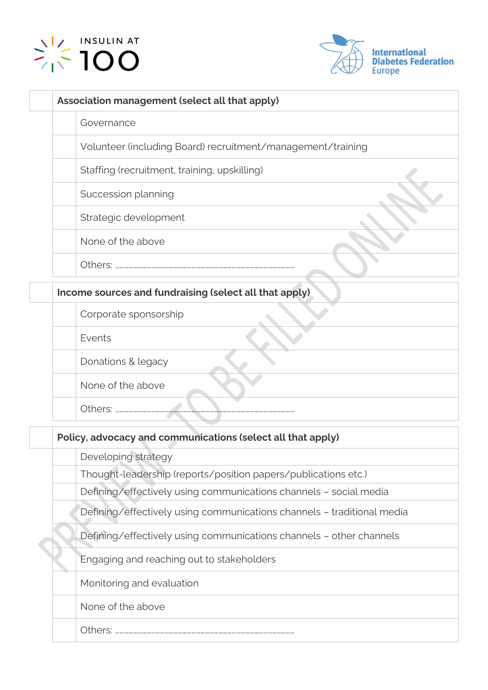



| Association management (select all that apply)              |
|-------------------------------------------------------------|
| Governance                                                  |
| Volunteer (including Board) recruitment/management/training |
| Staffing (recruitment, training, upskilling)                |
| Succession planning                                         |
| Strategic development                                       |
| None of the above                                           |
|                                                             |
| Income sources and fundraising (select all that apply)      |
| Corporate sponsorship                                       |
| Events                                                      |
| Donations & legacy                                          |
| None of the above                                           |
| Others:                                                     |
|                                                             |

|  | Policy, advocacy and communications (select all that apply) |                                                                        |  |
|--|-------------------------------------------------------------|------------------------------------------------------------------------|--|
|  |                                                             | Developing strategy                                                    |  |
|  |                                                             | Thought-leadership (reports/position papers/publications etc.)         |  |
|  |                                                             | Defining/effectively using communications channels - social media      |  |
|  |                                                             | Defining/effectively using communications channels - traditional media |  |
|  |                                                             | Defining/effectively using communications channels - other channels    |  |
|  |                                                             | Engaging and reaching out to stakeholders                              |  |
|  |                                                             | Monitoring and evaluation                                              |  |
|  |                                                             | None of the above                                                      |  |
|  |                                                             | Others:                                                                |  |
|  |                                                             |                                                                        |  |